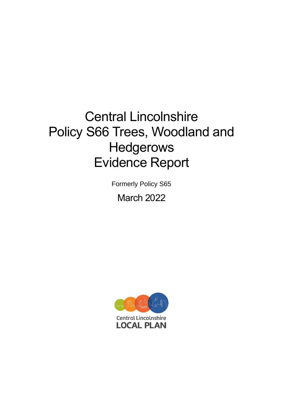# Central Lincolnshire Policy S66 Trees, Woodland and Hedgerows Evidence Report

Formerly Policy S65

March 2022

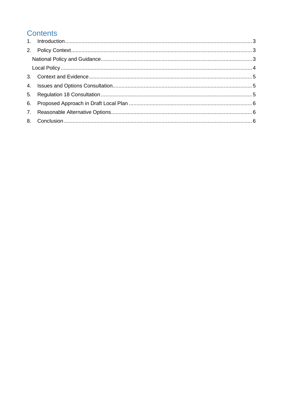# **Contents**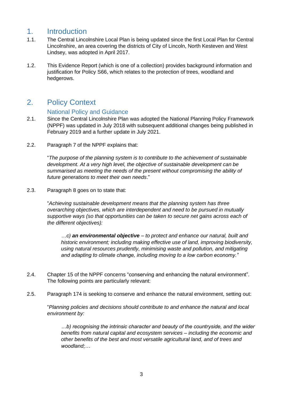#### <span id="page-2-0"></span>1. Introduction

- 1.1. The Central Lincolnshire Local Plan is being updated since the first Local Plan for Central Lincolnshire, an area covering the districts of City of Lincoln, North Kesteven and West Lindsey, was adopted in April 2017.
- 1.2. This Evidence Report (which is one of a collection) provides background information and justification for Policy S66, which relates to the protection of trees, woodland and hedgerows.

## <span id="page-2-1"></span>2. Policy Context

#### National Policy and Guidance

- <span id="page-2-2"></span>2.1. Since the Central Lincolnshire Plan was adopted the National Planning Policy Framework (NPPF) was updated in July 2018 with subsequent additional changes being published in February 2019 and a further update in July 2021.
- 2.2. Paragraph 7 of the NPPF explains that:

"*The purpose of the planning system is to contribute to the achievement of sustainable development. At a very high level, the objective of sustainable development can be summarised as meeting the needs of the present without compromising the ability of future generations to meet their own needs*."

2.3. Paragraph 8 goes on to state that:

"*Achieving sustainable development means that the planning system has three overarching objectives, which are interdependent and need to be pursued in mutually supportive ways (so that opportunities can be taken to secure net gains across each of the different objectives):*

*…c) an environmental objective – to protect and enhance our natural, built and historic environment; including making effective use of land, improving biodiversity, using natural resources prudently, minimising waste and pollution, and mitigating and adapting to climate change, including moving to a low carbon economy."*

- 2.4. Chapter 15 of the NPPF concerns "conserving and enhancing the natural environment". The following points are particularly relevant:
- 2.5. Paragraph 174 is seeking to conserve and enhance the natural environment, setting out:

"*Planning policies and decisions should contribute to and enhance the natural and local environment by:*

*…b) recognising the intrinsic character and beauty of the countryside, and the wider benefits from natural capital and ecosystem services – including the economic and other benefits of the best and most versatile agricultural land, and of trees and woodland;…*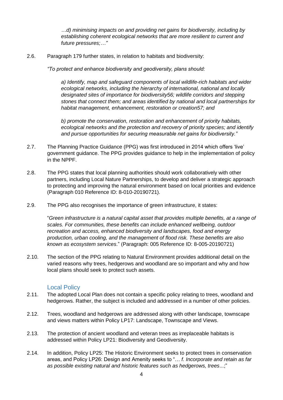*…d) minimising impacts on and providing net gains for biodiversity, including by establishing coherent ecological networks that are more resilient to current and future pressures;…"*

2.6. Paragraph 179 further states, in relation to habitats and biodiversity:

*"To protect and enhance biodiversity and geodiversity, plans should:*

*a) Identify, map and safeguard components of local wildlife-rich habitats and wider ecological networks, including the hierarchy of international, national and locally designated sites of importance for biodiversity56; wildlife corridors and stepping stones that connect them; and areas identified by national and local partnerships for habitat management, enhancement, restoration or creation57; and*

*b) promote the conservation, restoration and enhancement of priority habitats, ecological networks and the protection and recovery of priority species; and identify and pursue opportunities for securing measurable net gains for biodiversity."*

- 2.7. The Planning Practice Guidance (PPG) was first introduced in 2014 which offers 'live' government guidance. The PPG provides guidance to help in the implementation of policy in the NPPF.
- 2.8. The PPG states that local planning authorities should work collaboratively with other partners, including Local Nature Partnerships, to develop and deliver a strategic approach to protecting and improving the natural environment based on local priorities and evidence (Paragraph 010 Reference ID: 8-010-20190721).
- 2.9. The PPG also recognises the importance of green infrastructure, it states:

"*Green infrastructure is a natural capital asset that provides multiple benefits, at a range of scales. For communities, these benefits can include enhanced wellbeing, outdoor recreation and access, enhanced biodiversity and landscapes, food and energy production, urban cooling, and the management of flood risk. These benefits are also known as ecosystem services*." (Paragraph: 005 Reference ID: 8-005-20190721)

2.10. The section of the PPG relating to Natural Environment provides additional detail on the varied reasons why trees, hedgerows and woodland are so important and why and how local plans should seek to protect such assets.

#### Local Policy

- <span id="page-3-0"></span>2.11. The adopted Local Plan does not contain a specific policy relating to trees, woodland and hedgerows. Rather, the subject is included and addressed in a number of other policies.
- 2.12. Trees, woodland and hedgerows are addressed along with other landscape, townscape and views matters within Policy LP17: Landscape, Townscape and Views.
- 2.13. The protection of ancient woodland and veteran trees as irreplaceable habitats is addressed within Policy LP21: Biodiversity and Geodiversity.
- 2.14. In addition, Policy LP25: The Historic Environment seeks to protect trees in conservation areas, and Policy LP26: Design and Amenity seeks to "… *f. Incorporate and retain as far as possible existing natural and historic features such as hedgerows, trees*...;"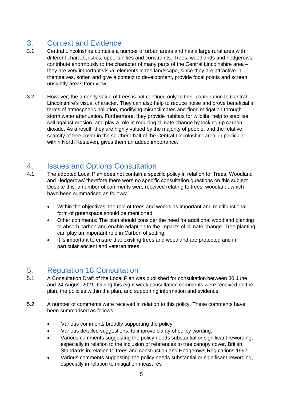# <span id="page-4-0"></span>3. Context and Evidence

- 3.1. Central Lincolnshire contains a number of urban areas and has a large rural area with different characteristics, opportunities and constraints. Trees, woodlands and hedgerows, contribute enormously to the character of many parts of the Central Lincolnshire area – they are very important visual elements in the landscape, since they are attractive in themselves, soften and give a context to development, provide focal points and screen unsightly areas from view.
- 3.2. However, the amenity value of trees is not confined only to their contribution to Central Lincolnshire's visual character. They can also help to reduce noise and prove beneficial in terms of atmospheric pollution, modifying microclimates and flood mitigation through storm water attenuation. Furthermore, they provide habitats for wildlife, help to stabilise soil against erosion, and play a role in reducing climate change by locking up carbon dioxide. As a result, they are highly valued by the majority of people, and the relative scarcity of tree cover in the southern half of the Central Lincolnshire area, in particular within North Kesteven, gives them an added importance.

#### <span id="page-4-1"></span>4. Issues and Options Consultation

- 4.1. The adopted Local Plan does not contain a specific policy in relation to 'Trees, Woodland and Hedgerows' therefore there were no specific consultation questions on this subject. Despite this, a number of comments were received relating to trees, woodland, which have been summarised as follows:
	- Within the objectives, the role of trees and woods as important and multifunctional form of greenspace should be mentioned;
	- Other comments: The plan should consider the need for additional woodland planting to absorb carbon and enable adaption to the impacts of climate change. Tree planting can play an important role in Carbon offsetting;
	- It is important to ensure that existing trees and woodland are protected and in particular ancient and veteran trees.

# <span id="page-4-2"></span>5. Regulation 18 Consultation

- 5.1. A Consultation Draft of the Local Plan was published for consultation between 30 June and 24 August 2021. During this eight week consultation comments were received on the plan, the policies within the plan, and supporting information and evidence.
- 5.2. A number of comments were received in relation to this policy. These comments have been summarised as follows:
	- Various comments broadly supporting the policy.
	- Various detailed suggestions, to improve clarity of policy wording.
	- Various comments suggesting the policy needs substantial or significant rewording, especially in relation to the inclusion of references to tree canopy cover, British Standards in relation to trees and construction and Hedgerows Regulations 1997.
	- Various comments suggesting the policy needs substantial or significant rewording, especially in relation to mitigation measures